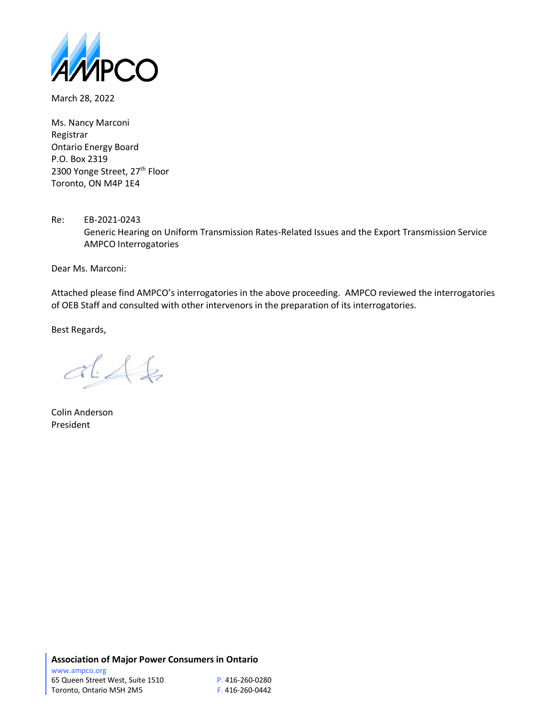

March 28, 2022

Ms. Nancy Marconi Registrar Ontario Energy Board P.O. Box 2319 2300 Yonge Street, 27<sup>th</sup> Floor Toronto, ON M4P 1E4

Re: EB-2021-0243 Generic Hearing on Uniform Transmission Rates-Related Issues and the Export Transmission Service AMPCO Interrogatories

Dear Ms. Marconi:

Attached please find AMPCO's interrogatories in the above proceeding. AMPCO reviewed the interrogatories of OEB Staff and consulted with other intervenors in the preparation of its interrogatories.

Best Regards,

 $dA$ 

Colin Anderson President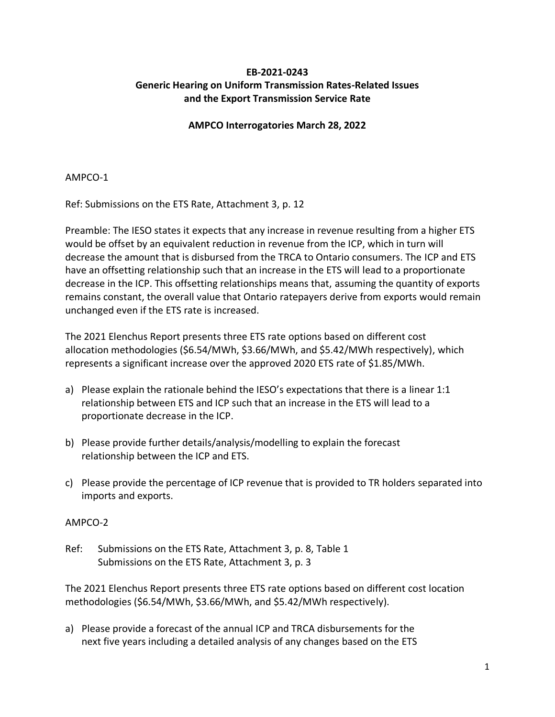# **EB-2021-0243 Generic Hearing on Uniform Transmission Rates-Related Issues and the Export Transmission Service Rate**

### **AMPCO Interrogatories March 28, 2022**

AMPCO-1

Ref: Submissions on the ETS Rate, Attachment 3, p. 12

Preamble: The IESO states it expects that any increase in revenue resulting from a higher ETS would be offset by an equivalent reduction in revenue from the ICP, which in turn will decrease the amount that is disbursed from the TRCA to Ontario consumers. The ICP and ETS have an offsetting relationship such that an increase in the ETS will lead to a proportionate decrease in the ICP. This offsetting relationships means that, assuming the quantity of exports remains constant, the overall value that Ontario ratepayers derive from exports would remain unchanged even if the ETS rate is increased.

The 2021 Elenchus Report presents three ETS rate options based on different cost allocation methodologies (\$6.54/MWh, \$3.66/MWh, and \$5.42/MWh respectively), which represents a significant increase over the approved 2020 ETS rate of \$1.85/MWh.

- a) Please explain the rationale behind the IESO's expectations that there is a linear 1:1 relationship between ETS and ICP such that an increase in the ETS will lead to a proportionate decrease in the ICP.
- b) Please provide further details/analysis/modelling to explain the forecast relationship between the ICP and ETS.
- c) Please provide the percentage of ICP revenue that is provided to TR holders separated into imports and exports.

### AMPCO-2

Ref: Submissions on the ETS Rate, Attachment 3, p. 8, Table 1 Submissions on the ETS Rate, Attachment 3, p. 3

The 2021 Elenchus Report presents three ETS rate options based on different cost location methodologies (\$6.54/MWh, \$3.66/MWh, and \$5.42/MWh respectively).

a) Please provide a forecast of the annual ICP and TRCA disbursements for the next five years including a detailed analysis of any changes based on the ETS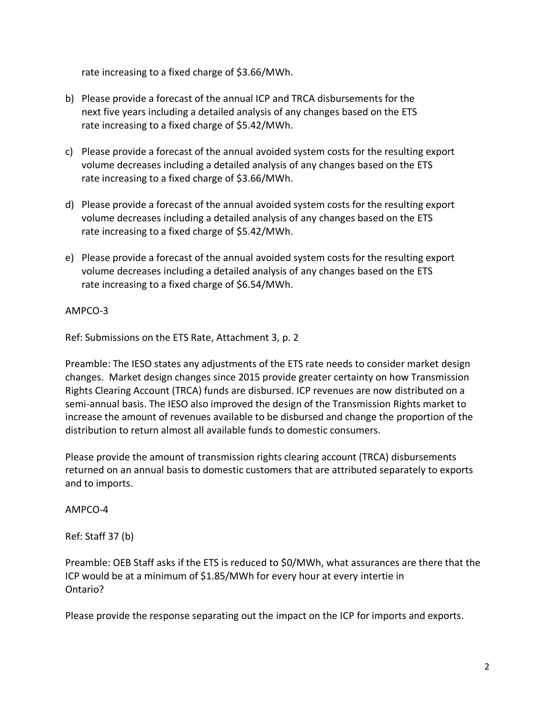rate increasing to a fixed charge of \$3.66/MWh.

- b) Please provide a forecast of the annual ICP and TRCA disbursements for the next five years including a detailed analysis of any changes based on the ETS rate increasing to a fixed charge of \$5.42/MWh.
- c) Please provide a forecast of the annual avoided system costs for the resulting export volume decreases including a detailed analysis of any changes based on the ETS rate increasing to a fixed charge of \$3.66/MWh.
- d) Please provide a forecast of the annual avoided system costs for the resulting export volume decreases including a detailed analysis of any changes based on the ETS rate increasing to a fixed charge of \$5.42/MWh.
- e) Please provide a forecast of the annual avoided system costs for the resulting export volume decreases including a detailed analysis of any changes based on the ETS rate increasing to a fixed charge of \$6.54/MWh.

# AMPCO-3

Ref: Submissions on the ETS Rate, Attachment 3, p. 2

Preamble: The IESO states any adjustments of the ETS rate needs to consider market design changes. Market design changes since 2015 provide greater certainty on how Transmission Rights Clearing Account (TRCA) funds are disbursed. ICP revenues are now distributed on a semi-annual basis. The IESO also improved the design of the Transmission Rights market to increase the amount of revenues available to be disbursed and change the proportion of the distribution to return almost all available funds to domestic consumers.

Please provide the amount of transmission rights clearing account (TRCA) disbursements returned on an annual basis to domestic customers that are attributed separately to exports and to imports.

### AMPCO-4

Ref: Staff 37 (b)

Preamble: OEB Staff asks if the ETS is reduced to \$0/MWh, what assurances are there that the ICP would be at a minimum of \$1.85/MWh for every hour at every intertie in Ontario?

Please provide the response separating out the impact on the ICP for imports and exports.